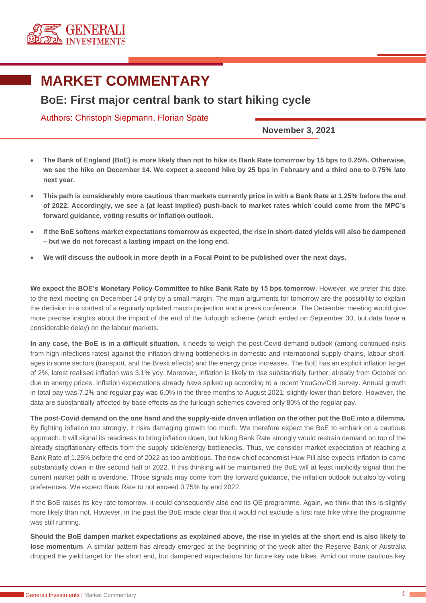

## **MARKET COMMENTARY**

## **BoE: First major central bank to start hiking cycle**

## Authors: Christoph Siepmann, Florian Späte

**November 3, 2021**

- **The Bank of England (BoE) is more likely than not to hike its Bank Rate tomorrow by 15 bps to 0.25%. Otherwise, we see the hike on December 14. We expect a second hike by 25 bps in February and a third one to 0.75% late next year.**
- **This path is considerably more cautious than markets currently price in with a Bank Rate at 1.25% before the end of 2022. Accordingly, we see a (at least implied) push-back to market rates which could come from the MPC's forward guidance, voting results or inflation outlook.**
- **If the BoE softens market expectations tomorrow as expected, the rise in short-dated yields will also be dampened – but we do not forecast a lasting impact on the long end.**
- **We will discuss the outlook in more depth in a Focal Point to be published over the next days.**

**We expect the BOE's Monetary Policy Committee to hike Bank Rate by 15 bps tomorrow**. However, we prefer this date to the next meeting on December 14 only by a small margin. The main arguments for tomorrow are the possibility to explain the decision in a context of a regularly updated macro projection and a press conference. The December meeting would give more precise insights about the impact of the end of the furlough scheme (which ended on September 30, but data have a considerable delay) on the labour markets.

**In any case, the BoE is in a difficult situation.** It needs to weigh the post-Covid demand outlook (among continued risks from high infections rates) against the inflation-driving bottlenecks in domestic and international supply chains, labour shortages in some sectors (transport, and the Brexit effects) and the energy price increases. The BoE has an explicit inflation target of 2%, latest realised inflation was 3.1% yoy. Moreover, inflation is likely to rise substantially further, already from October on due to energy prices. Inflation expectations already have spiked up according to a recent YouGov/Citi survey. Annual growth in total pay was 7.2% and regular pay was 6.0% in the three months to August 2021; slightly lower than before. However, the data are substantially affected by base effects as the furlough schemes covered only 80% of the regular pay.

**The post-Covid demand on the one hand and the supply-side driven inflation on the other put the BoE into a dilemma.** By fighting inflation too strongly, it risks damaging growth too much. We therefore expect the BoE to embark on a cautious approach. It will signal its readiness to bring inflation down, but hiking Bank Rate strongly would restrain demand on top of the already stagflationary effects from the supply side/energy bottlenecks. Thus, we consider market expectation of reaching a Bank Rate of 1.25% before the end of 2022 as too ambitious. The new chief economist Huw Pill also expects inflation to come substantially down in the second half of 2022. If this thinking will be maintained the BoE will at least implicitly signal that the current market path is overdone. Those signals may come from the forward guidance, the inflation outlook but also by voting preferences. We expect Bank Rate to not exceed 0.75% by end 2022.

If the BoE raises its key rate tomorrow, it could consequently also end its QE programme. Again, we think that this is slightly more likely than not. However, in the past the BoE made clear that it would not exclude a first rate hike while the programme was still running.

**Should the BoE dampen market expectations as explained above, the rise in yields at the short end is also likely to lose momentum**. A similar pattern has already emerged at the beginning of the week after the Reserve Bank of Australia dropped the yield target for the short end, but dampened expectations for future key rate hikes. Amid our more cautious key